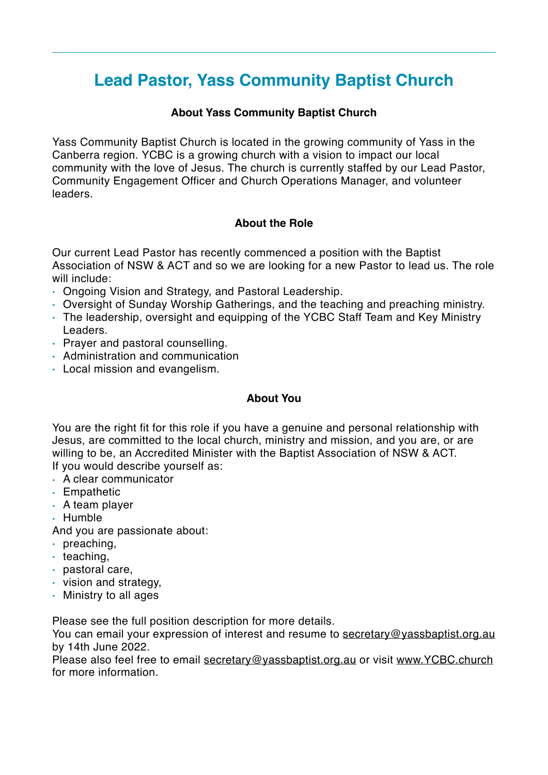# **Lead Pastor, Yass Community Baptist Church**

#### **About Yass Community Baptist Church**

Yass Community Baptist Church is located in the growing community of Yass in the Canberra region. YCBC is a growing church with a vision to impact our local community with the love of Jesus. The church is currently staffed by our Lead Pastor, Community Engagement Officer and Church Operations Manager, and volunteer leaders.

#### **About the Role**

Our current Lead Pastor has recently commenced a position with the Baptist Association of NSW & ACT and so we are looking for a new Pastor to lead us. The role will include:

- Ongoing Vision and Strategy, and Pastoral Leadership.
- Oversight of Sunday Worship Gatherings, and the teaching and preaching ministry.
- The leadership, oversight and equipping of the YCBC Staff Team and Key Ministry Leaders.
- Prayer and pastoral counselling.
- Administration and communication
- Local mission and evangelism.

#### **About You**

You are the right fit for this role if you have a genuine and personal relationship with Jesus, are committed to the local church, ministry and mission, and you are, or are willing to be, an Accredited Minister with the Baptist Association of NSW & ACT. If you would describe yourself as:

- A clear communicator
- Empathetic
- A team player
- Humble
- And you are passionate about:
- preaching,
- $\cdot$  teaching,
- pastoral care,
- vision and strategy,
- Ministry to all ages

Please see the full position description for more details.

You can email your expression of interest and resume to [secretary@yassbaptist.org.au](mailto:secretary@yassbaptist.org.au) by 14th June 2022.

Please also feel free to email [secretary@yassbaptist.org.au](mailto:secretary@yassbaptist.org.au) or visit [www.YCBC.church](http://www.YCBC.church) for more information.